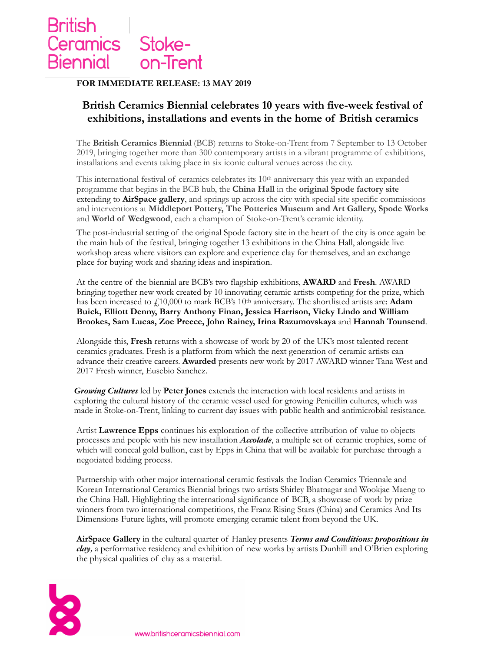

#### **FOR IMMEDIATE RELEASE: 13 MAY 2019**

# **British Ceramics Biennial celebrates 10 years with five-week festival of exhibitions, installations and events in the home of British ceramics**

The **British Ceramics Biennial** (BCB) returns to Stoke-on-Trent from 7 September to 13 October 2019, bringing together more than 300 contemporary artists in a vibrant programme of exhibitions, installations and events taking place in six iconic cultural venues across the city.

This international festival of ceramics celebrates its 10<sup>th</sup> anniversary this year with an expanded programme that begins in the BCB hub, the **China Hall** in the **original Spode factory site**  extending to **AirSpace gallery**, and springs up across the city with special site specific commissions and interventions at **Middleport Pottery, The Potteries Museum and Art Gallery, Spode Works**  and **World of Wedgwood**, each a champion of Stoke-on-Trent's ceramic identity.

The post-industrial setting of the original Spode factory site in the heart of the city is once again be the main hub of the festival, bringing together 13 exhibitions in the China Hall, alongside live workshop areas where visitors can explore and experience clay for themselves, and an exchange place for buying work and sharing ideas and inspiration.

At the centre of the biennial are BCB's two flagship exhibitions, **AWARD** and **Fresh**. AWARD bringing together new work created by 10 innovating ceramic artists competing for the prize, which has been increased to  $\angle 10,000$  to mark BCB's 10<sup>th</sup> anniversary. The shortlisted artists are: **Adam Buick, Elliott Denny, Barry Anthony Finan, Jessica Harrison, Vicky Lindo and William Brookes, Sam Lucas, Zoe Preece, John Rainey, Irina Razumovskaya** and **Hannah Tounsend**.

Alongside this, **Fresh** returns with a showcase of work by 20 of the UK's most talented recent ceramics graduates. Fresh is a platform from which the next generation of ceramic artists can advance their creative careers. **Awarded** presents new work by 2017 AWARD winner Tana West and 2017 Fresh winner, Eusebio Sanchez.

*Growing Cultures* led by **Peter Jones** extends the interaction with local residents and artists in exploring the cultural history of the ceramic vessel used for growing Penicillin cultures, which was made in Stoke-on-Trent, linking to current day issues with public health and antimicrobial resistance.

Artist **Lawrence Epps** continues his exploration of the collective attribution of value to objects processes and people with his new installation *Accolade*, a multiple set of ceramic trophies, some of which will conceal gold bullion, cast by Epps in China that will be available for purchase through a negotiated bidding process.

Partnership with other major international ceramic festivals the Indian Ceramics Triennale and Korean International Ceramics Biennial brings two artists Shirley Bhatnagar and Wookjae Maeng to the China Hall. Highlighting the international significance of BCB, a showcase of work by prize winners from two international competitions, the Franz Rising Stars (China) and Ceramics And Its Dimensions Future lights, will promote emerging ceramic talent from beyond the UK.

**AirSpace Gallery** in the cultural quarter of Hanley presents *Terms and Conditions: propositions in clay,* a performative residency and exhibition of new works by artists Dunhill and O'Brien exploring the physical qualities of clay as a material.

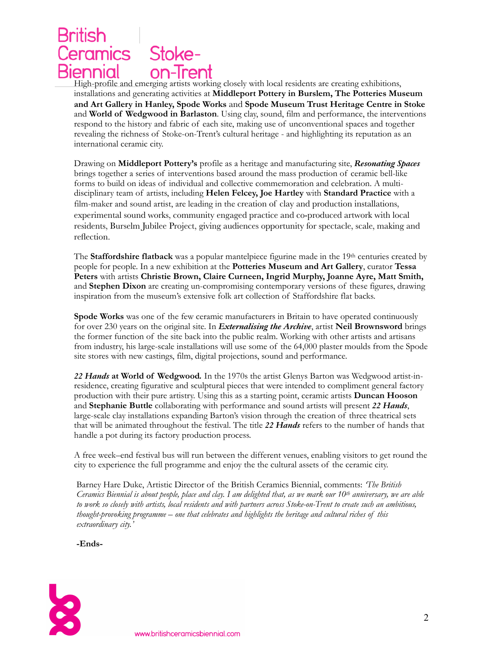## **British** Stoke-Ceramics on-Trent Biennial

High-profile and emerging artists working closely with local residents are creating exhibitions, installations and generating activities at **Middleport Pottery in Burslem, The Potteries Museum and Art Gallery in Hanley, Spode Works** and **Spode Museum Trust Heritage Centre in Stoke**  and **World of Wedgwood in Barlaston**. Using clay, sound, film and performance, the interventions respond to the history and fabric of each site, making use of unconventional spaces and together revealing the richness of Stoke-on-Trent's cultural heritage - and highlighting its reputation as an international ceramic city.

Drawing on **Middleport Pottery's** profile as a heritage and manufacturing site, *Resonating Spaces* brings together a series of interventions based around the mass production of ceramic bell-like forms to build on ideas of individual and collective commemoration and celebration. A multidisciplinary team of artists, including **Helen Felcey, Joe Hartley** with **Standard Practice** with a film-maker and sound artist, are leading in the creation of clay and production installations, experimental sound works, community engaged practice and co-produced artwork with local residents, Burselm Jubilee Project, giving audiences opportunity for spectacle, scale, making and reflection.

The **Staffordshire flatback** was a popular mantelpiece figurine made in the 19<sup>th</sup> centuries created by people for people. In a new exhibition at the **Potteries Museum and Art Gallery**, curator **Tessa Peters** with artists **Christie Brown, Claire Curneen, Ingrid Murphy, Joanne Ayre, Matt Smith,**  and **Stephen Dixon** are creating un-compromising contemporary versions of these figures, drawing inspiration from the museum's extensive folk art collection of Staffordshire flat backs.

**Spode Works** was one of the few ceramic manufacturers in Britain to have operated continuously for over 230 years on the original site. In *Externalising the Archive*, artist **Neil Brownsword** brings the former function of the site back into the public realm. Working with other artists and artisans from industry, his large-scale installations will use some of the 64,000 plaster moulds from the Spode site stores with new castings, film, digital projections, sound and performance.

*22 Hands* **at World of Wedgwood***.* In the 1970s the artist Glenys Barton was Wedgwood artist-inresidence, creating figurative and sculptural pieces that were intended to compliment general factory production with their pure artistry. Using this as a starting point, ceramic artists **Duncan Hooson** and **Stephanie Buttle** collaborating with performance and sound artists will present *22 Hands*, large-scale clay installations expanding Barton's vision through the creation of three theatrical sets that will be animated throughout the festival. The title *22 Hands* refers to the number of hands that handle a pot during its factory production process.

A free week–end festival bus will run between the different venues, enabling visitors to get round the city to experience the full programme and enjoy the the cultural assets of the ceramic city.

Barney Hare Duke, Artistic Director of the British Ceramics Biennial, comments: *'The British Ceramics Biennial is about people, place and clay. I am delighted that, as we mark our 10th anniversary, we are able to work so closely with artists, local residents and with partners across Stoke-on-Trent to create such an ambitious, thought-provoking programme – one that celebrates and highlights the heritage and cultural riches of this extraordinary city.'*

**-Ends-** 

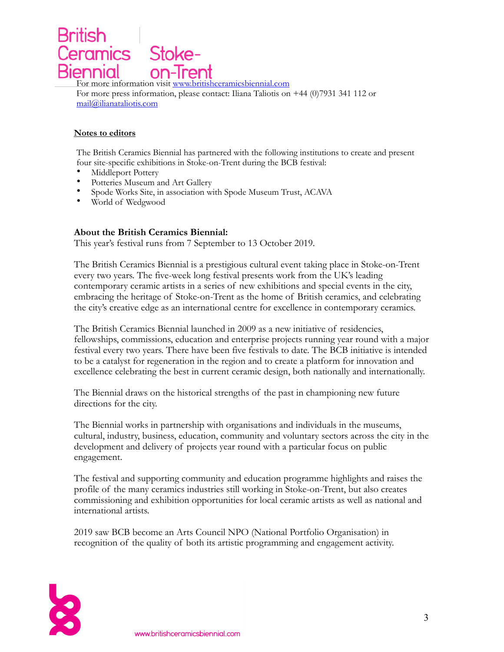ľ Stokeeramics -Trent ennıal For more information visit www.britishceramicsbiennial.com

For more press information, please contact: Iliana Taliotis on +44 (0)7931 341 112 or [mail@ilianataliotis.com](mailto:mail@ilianataliotis.com) 

### **Notes to editors**

The British Ceramics Biennial has partnered with the following institutions to create and present four site-specific exhibitions in Stoke-on-Trent during the BCB festival:

- Middleport Pottery<br>• Potteries Museum a
- Potteries Museum and Art Gallery
- Spode Works Site, in association with Spode Museum Trust, ACAVA<br>• World of Wedgwood
- World of Wedgwood

### **About the British Ceramics Biennial:**

This year's festival runs from 7 September to 13 October 2019.

The British Ceramics Biennial is a prestigious cultural event taking place in Stoke-on-Trent every two years. The five-week long festival presents work from the UK's leading contemporary ceramic artists in a series of new exhibitions and special events in the city, embracing the heritage of Stoke-on-Trent as the home of British ceramics, and celebrating the city's creative edge as an international centre for excellence in contemporary ceramics.

The British Ceramics Biennial launched in 2009 as a new initiative of residencies, fellowships, commissions, education and enterprise projects running year round with a major festival every two years. There have been five festivals to date. The BCB initiative is intended to be a catalyst for regeneration in the region and to create a platform for innovation and excellence celebrating the best in current ceramic design, both nationally and internationally.

The Biennial draws on the historical strengths of the past in championing new future directions for the city.

The Biennial works in partnership with organisations and individuals in the museums, cultural, industry, business, education, community and voluntary sectors across the city in the development and delivery of projects year round with a particular focus on public engagement.

The festival and supporting community and education programme highlights and raises the profile of the many ceramics industries still working in Stoke-on-Trent, but also creates commissioning and exhibition opportunities for local ceramic artists as well as national and international artists.

2019 saw BCB become an Arts Council NPO (National Portfolio Organisation) in recognition of the quality of both its artistic programming and engagement activity.